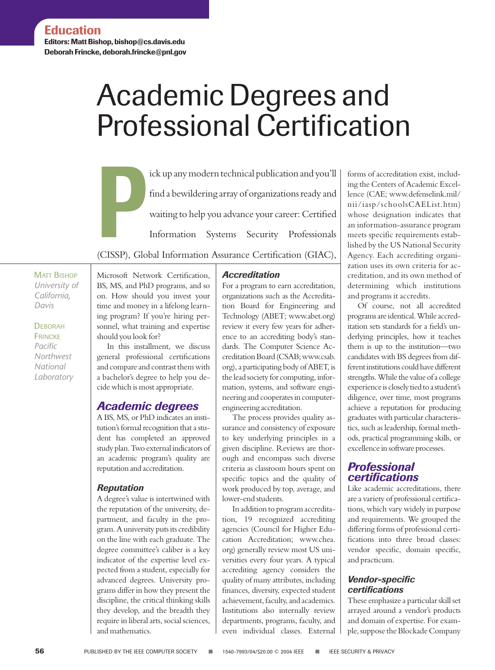**Editors: Matt Bishop, bishop@cs.davis.edu Deborah Frincke, deborah.frincke@pnl.gov**

# Academic Degrees and Professional Certification

ick up any modern technical publication and you'll<br>
find a bewildering array of organizations ready and<br>
waiting to help you advance your career: Certified<br>
Information Systems Security Professionals<br>
CISSP) Clobal Informa find a bewildering array of organizations ready and waiting to help you advance your career: Certified Information Systems Security Professionals

(CISSP), Global Information Assurance Certification (GIAC),

MATT BISHOP *University of California, Davis*

**DEBORAH FRINCKE** *Pacific Northwest National Laboratory* Microsoft Network Certification, BS, MS, and PhD programs, and so on. How should you invest your time and money in a lifelong learning program? If you're hiring personnel, what training and expertise should you look for?

In this installment, we discuss general professional certifications and compare and contrast them with a bachelor's degree to help you decide which is most appropriate.

### *Academic degrees*

A BS, MS, or PhD indicates an institution's formal recognition that a student has completed an approved study plan. Two external indicators of an academic program's quality are reputation and accreditation.

### *Reputation*

A degree's value is intertwined with the reputation of the university, department, and faculty in the program. A university puts its credibility on the line with each graduate. The degree committee's caliber is a key indicator of the expertise level expected from a student, especially for advanced degrees. University programs differ in how they present the discipline, the critical thinking skills they develop, and the breadth they require in liberal arts, social sciences, and mathematics.

### *Accreditation*

For a program to earn accreditation, organizations such as the Accreditation Board for Engineering and Technology (ABET; www.abet.org) review it every few years for adherence to an accrediting body's standards. The Computer Science Accreditation Board (CSAB; www.csab. org), a participating body of ABET, is the lead society for computing, information, systems, and software engineering and cooperates in computerengineering accreditation.

The process provides quality assurance and consistency of exposure to key underlying principles in a given discipline. Reviews are thorough and encompass such diverse criteria as classroom hours spent on specific topics and the quality of work produced by top, average, and lower-end students.

In addition to program accreditation, 19 recognized accrediting agencies (Council for Higher Education Accreditation; www.chea. org) generally review most US universities every four years. A typical accrediting agency considers the quality of many attributes, including finances, diversity, expected student achievement, faculty, and academics. Institutions also internally review departments, programs, faculty, and even individual classes. External

forms of accreditation exist, including the Centers of Academic Excellence (CAE; www.defenselink.mil/ nii/iasp/schoolsCAEList.htm) whose designation indicates that an information-assurance program meets specific requirements established by the US National Security Agency. Each accrediting organization uses its own criteria for accreditation, and its own method of determining which institutions and programs it accredits.

Of course, not all accredited programs are identical. While accreditation sets standards for a field's underlying principles, how it teaches them is up to the institution—two candidates with BS degrees from different institutions could have different strengths. While the value of a college experience is closely tied to a student's diligence, over time, most programs achieve a reputation for producing graduates with particular characteristics, such as leadership, formal methods, practical programming skills, or excellence in software processes.

## *Professional certifications*

Like academic accreditations, there are a variety of professional certifications, which vary widely in purpose and requirements. We grouped the differing forms of professional certifications into three broad classes: vendor specific, domain specific, and practicum.

### *Vendor-specific certifications*

These emphasize a particular skill set arrayed around a vendor's products and domain of expertise. For example, suppose the Blockade Company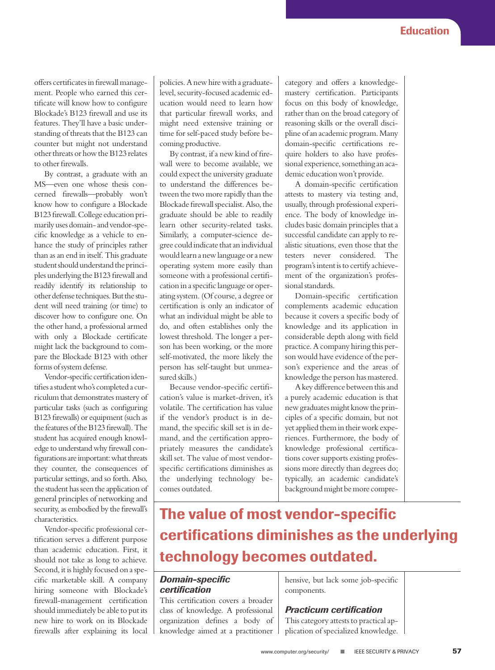offers certificates in firewall management. People who earned this certificate will know how to configure Blockade's B123 firewall and use its features. They'll have a basic understanding of threats that the B123 can counter but might not understand other threats or how the B123 relates to other firewalls.

By contrast, a graduate with an MS—even one whose thesis concerned firewalls—probably won't know how to configure a Blockade B123 firewall. College education primarily uses domain- and vendor-specific knowledge as a vehicle to enhance the study of principles rather than as an end in itself. This graduate student should understand the principles underlying the B123 firewall and readily identify its relationship to other defense techniques. But the student will need training (or time) to discover how to configure one. On the other hand, a professional armed with only a Blockade certificate might lack the background to compare the Blockade B123 with other forms of system defense.

Vendor-specific certification identifies a student who's completed a curriculum that demonstrates mastery of particular tasks (such as configuring B123 firewalls) or equipment (such as the features of the B123 firewall). The student has acquired enough knowledge to understand why firewall configurations are important: what threats they counter, the consequences of particular settings, and so forth. Also, the student has seen the application of general principles of networking and security, as embodied by the firewall's characteristics.

Vendor-specific professional certification serves a different purpose than academic education. First, it should not take as long to achieve. Second, it is highly focused on a specific marketable skill. A company hiring someone with Blockade's firewall-management certification should immediately be able to put its new hire to work on its Blockade firewalls after explaining its local

policies. A new hire with a graduatelevel, security-focused academic education would need to learn how that particular firewall works, and might need extensive training or time for self-paced study before becoming productive.

By contrast, if a new kind of firewall were to become available, we could expect the university graduate to understand the differences between the two more rapidly than the Blockade firewall specialist. Also, the graduate should be able to readily learn other security-related tasks. Similarly, a computer-science degree could indicate that an individual would learn a new language or a new operating system more easily than someone with a professional certification in a specific language or operating system. (Of course, a degree or certification is only an indicator of what an individual might be able to do, and often establishes only the lowest threshold. The longer a person has been working, or the more self-motivated, the more likely the person has self-taught but unmeasured skills.)

Because vendor-specific certification's value is market-driven, it's volatile. The certification has value if the vendor's product is in demand, the specific skill set is in demand, and the certification appropriately measures the candidate's skill set. The value of most vendorspecific certifications diminishes as the underlying technology becomes outdated.

category and offers a knowledgemastery certification. Participants focus on this body of knowledge, rather than on the broad category of reasoning skills or the overall discipline of an academic program. Many domain-specific certifications require holders to also have professional experience, something an academic education won't provide.

A domain-specific certification attests to mastery via testing and, usually, through professional experience. The body of knowledge includes basic domain principles that a successful candidate can apply to realistic situations, even those that the testers never considered. The program's intent is to certify achievement of the organization's professional standards.

Domain-specific certification complements academic education because it covers a specific body of knowledge and its application in considerable depth along with field practice. A company hiring this person would have evidence of the person's experience and the areas of knowledge the person has mastered.

A key difference between this and a purely academic education is that new graduates might know the principles of a specific domain, but not yet applied them in their work experiences. Furthermore, the body of knowledge professional certifications cover supports existing professions more directly than degrees do; typically, an academic candidate's background might be more compre-

# **The value of most vendor-specific certifications diminishes as the underlying technology becomes outdated.**

#### *Domain-specific certification*

This certification covers a broader class of knowledge. A professional organization defines a body of knowledge aimed at a practitioner hensive, but lack some job-specific components.

#### *Practicum certification*

This category attests to practical application of specialized knowledge.